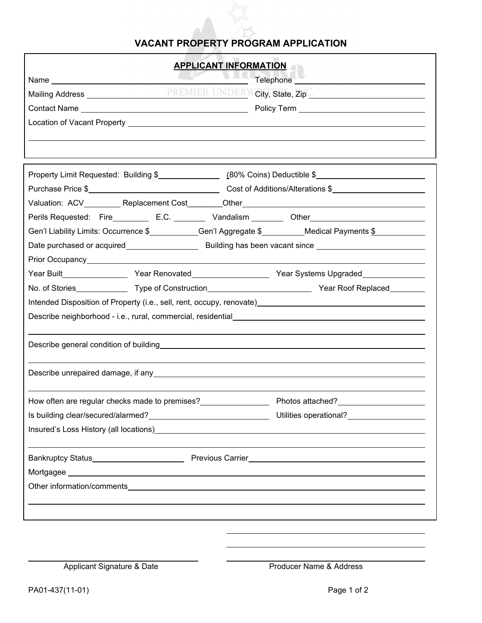## **VACANT PROPERTY PROGRAM APPLICATION**

| <b>APPLICANT INFORMATION</b>                                                                                                                                                                                                              |
|-------------------------------------------------------------------------------------------------------------------------------------------------------------------------------------------------------------------------------------------|
| $\frac{1}{2}$<br>PREMIER UNDERWCity, State, Zip <sup>C</sup>                                                                                                                                                                              |
|                                                                                                                                                                                                                                           |
|                                                                                                                                                                                                                                           |
|                                                                                                                                                                                                                                           |
|                                                                                                                                                                                                                                           |
|                                                                                                                                                                                                                                           |
|                                                                                                                                                                                                                                           |
|                                                                                                                                                                                                                                           |
| Perils Requested: Fire E.C. C. Vandalism C.C. During Cther Cherchines Communication Cherchines And Cherchines                                                                                                                             |
| Gen'l Liability Limits: Occurrence \$____________Gen'l Aggregate \$_________Medical Payments \$_____________                                                                                                                              |
| Date purchased or acquired <b>Exercise 2 Building has been vacant since</b>                                                                                                                                                               |
|                                                                                                                                                                                                                                           |
| Year Built__________________Year Renovated___________________Year Systems Upgraded_________________                                                                                                                                       |
|                                                                                                                                                                                                                                           |
| Intended Disposition of Property (i.e., sell, rent, occupy, renovate) example and the control of the control of the control of the control of the control of the control of the control of the control of the control of the c            |
|                                                                                                                                                                                                                                           |
|                                                                                                                                                                                                                                           |
|                                                                                                                                                                                                                                           |
|                                                                                                                                                                                                                                           |
|                                                                                                                                                                                                                                           |
|                                                                                                                                                                                                                                           |
| Bankruptcy Status <b>Example 20</b> Previous Carrier <b>Constant Construct Constant Constant Construct Constant Constant Constant Construct Constant Constant Constant Constant Constant Constant Constant Constant Constant Constant</b> |
|                                                                                                                                                                                                                                           |
| Other information/comments                                                                                                                                                                                                                |
|                                                                                                                                                                                                                                           |
|                                                                                                                                                                                                                                           |